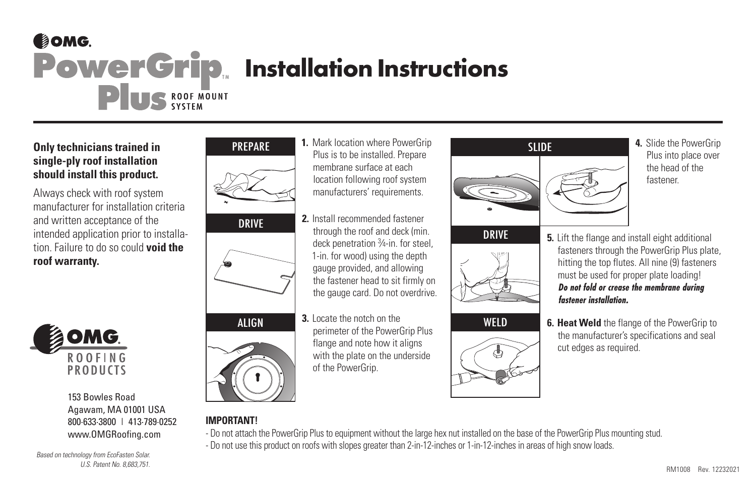## COMG. **PowerGrip** Installation Instructions PUS ROOF MOUNT

## **Only technicians trained in single-ply roof installation should install this product.**

Always check with roof system manufacturer for installation criteria and written acceptance of the intended application prior to installation. Failure to do so could **void the roof warranty.**



153 Bowles Road Agawam, MA 01001 USA 800-633-3800 | 413-789-0252 www.OMGRoofing.com

Based on technology from EcoFasten Solar. U.S. Patent No. 8,683,751.







ALIGN **3.** Locate the notch on the perimeter of the PowerGrip Plus flange and note how it aligns with the plate on the underside of the PowerGrip.

Plus is to be installed. Prepare membrane surface at each location following roof system manufacturers' requirements.

through the roof and deck (min. deck penetration 3 ⁄4-in. for steel, 1-in. for wood) using the depth gauge provided, and allowing the fastener head to sit firmly on the gauge card. Do not overdrive.







- Plus into place over the head of the fastener.
- **DRIVE** 5. Lift the flange and install eight additional fasteners through the PowerGrip Plus plate. hitting the top flutes. All nine (9) fasteners must be used for proper plate loading! **Do not fold or crease the membrane during fastener installation.**
- WELD **6. Heat Weld** the flange of the PowerGrip to the manufacturer's specifications and seal cut edges as required.

- **IMPORTANT!**
	- Do not attach the PowerGrip Plus to equipment without the large hex nut installed on the base of the PowerGrip Plus mounting stud.
	- Do not use this product on roofs with slopes greater than 2-in-12-inches or 1-in-12-inches in areas of high snow loads.